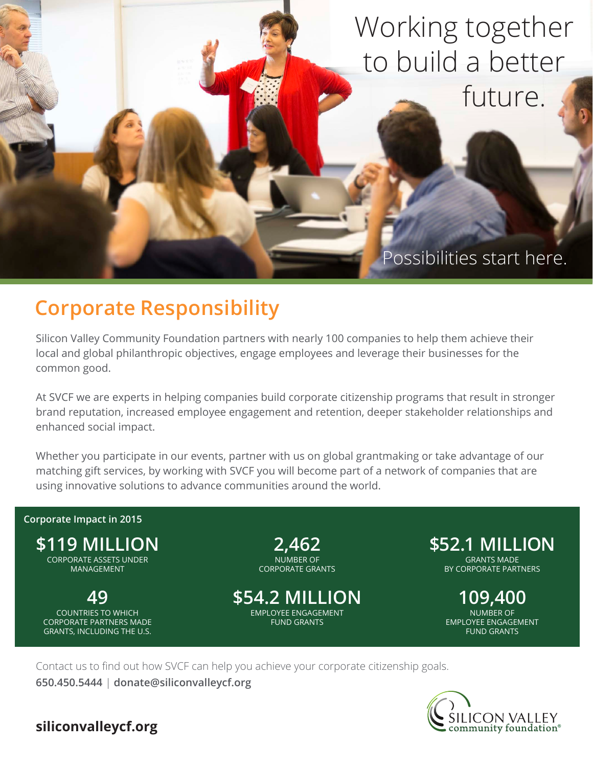## Working together to build a better future.

Possibilities start here.

## **Corporate Responsibility**

Silicon Valley Community Foundation partners with nearly 100 companies to help them achieve their local and global philanthropic objectives, engage employees and leverage their businesses for the common good.

At SVCF we are experts in helping companies build corporate citizenship programs that result in stronger brand reputation, increased employee engagement and retention, deeper stakeholder relationships and enhanced social impact.

Whether you participate in our events, partner with us on global grantmaking or take advantage of our matching gift services, by working with SVCF you will become part of a network of companies that are using innovative solutions to advance communities around the world.

## **Corporate Impact in 2015**



COUNTRIES TO WHICH CORPORATE PARTNERS MADE GRANTS, INCLUDING THE U.S.

**2,462** NUMBER OF CORPORATE GRANTS

**49 \$54.2 MILLION 109,400** EMPLOYEE ENGAGEMENT FUND GRANTS

**\$52.1 MILLION** GRANTS MADE BY CORPORATE PARTNERS

> NUMBER OF EMPLOYEE ENGAGEMENT FUND GRANTS

Contact us to find out how SVCF can help you achieve your corporate citizenship goals.

**650.450.5444** | **donate@siliconvalleycf.org**



**siliconvalleycf.org**